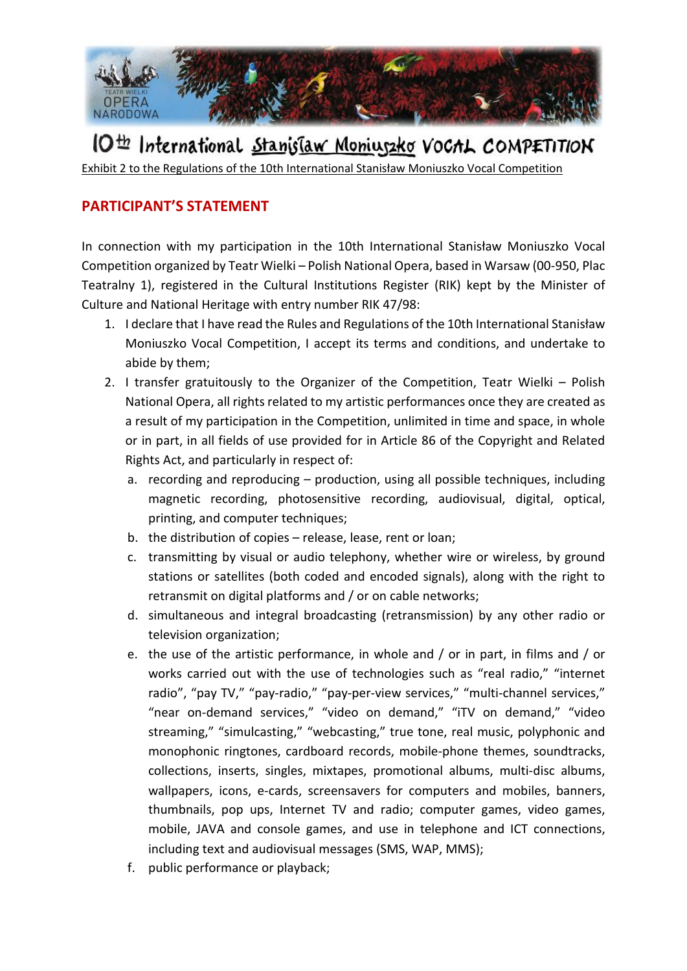

## IO<sup>th</sup> International Stanislaw Moniuszko VoCAL COMPETITION

Exhibit 2 to the Regulations of the 10th International Stanisław Moniuszko Vocal Competition

## **PARTICIPANT'S STATEMENT**

In connection with my participation in the 10th International Stanisław Moniuszko Vocal Competition organized by Teatr Wielki – Polish National Opera, based in Warsaw (00-950, Plac Teatralny 1), registered in the Cultural Institutions Register (RIK) kept by the Minister of Culture and National Heritage with entry number RIK 47/98:

- 1. I declare that I have read the Rules and Regulations of the 10th International Stanisław Moniuszko Vocal Competition, I accept its terms and conditions, and undertake to abide by them;
- 2. I transfer gratuitously to the Organizer of the Competition, Teatr Wielki Polish National Opera, all rights related to my artistic performances once they are created as a result of my participation in the Competition, unlimited in time and space, in whole or in part, in all fields of use provided for in Article 86 of the Copyright and Related Rights Act, and particularly in respect of:
	- a. recording and reproducing production, using all possible techniques, including magnetic recording, photosensitive recording, audiovisual, digital, optical, printing, and computer techniques;
	- b. the distribution of copies release, lease, rent or loan;
	- c. transmitting by visual or audio telephony, whether wire or wireless, by ground stations or satellites (both coded and encoded signals), along with the right to retransmit on digital platforms and / or on cable networks;
	- d. simultaneous and integral broadcasting (retransmission) by any other radio or television organization;
	- e. the use of the artistic performance, in whole and / or in part, in films and / or works carried out with the use of technologies such as "real radio," "internet radio", "pay TV," "pay-radio," "pay-per-view services," "multi-channel services," "near on-demand services," "video on demand," "iTV on demand," "video streaming," "simulcasting," "webcasting," true tone, real music, polyphonic and monophonic ringtones, cardboard records, mobile-phone themes, soundtracks, collections, inserts, singles, mixtapes, promotional albums, multi-disc albums, wallpapers, icons, e-cards, screensavers for computers and mobiles, banners, thumbnails, pop ups, Internet TV and radio; computer games, video games, mobile, JAVA and console games, and use in telephone and ICT connections, including text and audiovisual messages (SMS, WAP, MMS);
	- f. public performance or playback;